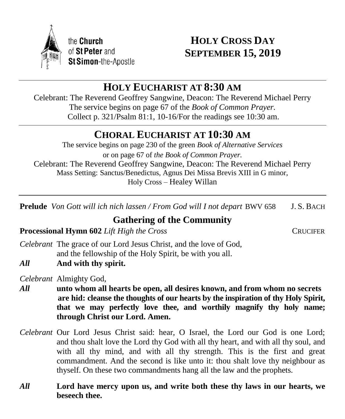

# **HOLY CROSS DAY SEPTEMBER 15, 2019**

# **HOLY EUCHARIST AT 8:30 AM**

Celebrant: The Reverend Geoffrey Sangwine, Deacon: The Reverend Michael Perry The service begins on page 67 of the *Book of Common Prayer.* Collect p. 321/Psalm 81:1, 10-16/For the readings see 10:30 am.

# **CHORAL EUCHARIST AT 10:30 AM**

The service begins on page 230 of the green *Book of Alternative Services* or on page 67 of *the Book of Common Prayer.* Celebrant: The Reverend Geoffrey Sangwine, Deacon: The Reverend Michael Perry Mass Setting: Sanctus/Benedictus, Agnus Dei Missa Brevis XIII in G minor, Holy Cross – Healey Willan

**Prelude** *Von Gott will ich nich lassen / From God will I not depart*BWV 658 J. S. BACH

# **Gathering of the Community**

**Processional Hymn 602** *Lift High the Cross* CRUCIFER

- *Celebrant* The grace of our Lord Jesus Christ, and the love of God, and the fellowship of the Holy Spirit, be with you all.
- *All* **And with thy spirit.**

*Celebrant* Almighty God,

- *All* **unto whom all hearts be open, all desires known, and from whom no secrets are hid: cleanse the thoughts of our hearts by the inspiration of thy Holy Spirit, that we may perfectly love thee, and worthily magnify thy holy name; through Christ our Lord. Amen.**
- *Celebrant* Our Lord Jesus Christ said: hear, O Israel, the Lord our God is one Lord; and thou shalt love the Lord thy God with all thy heart, and with all thy soul, and with all thy mind, and with all thy strength. This is the first and great commandment. And the second is like unto it: thou shalt love thy neighbour as thyself. On these two commandments hang all the law and the prophets.
- *All* **Lord have mercy upon us, and write both these thy laws in our hearts, we beseech thee.**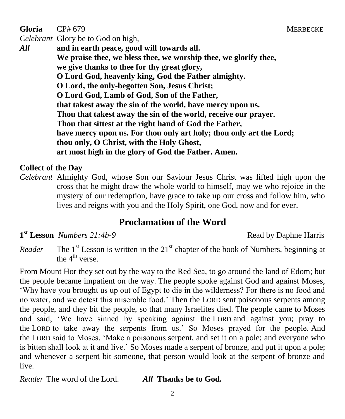**Gloria** CP# 679 MERBECKE

*Celebrant* Glory be to God on high,

*All* **and in earth peace, good will towards all. We praise thee, we bless thee, we worship thee, we glorify thee, we give thanks to thee for thy great glory, O Lord God, heavenly king, God the Father almighty. O Lord, the only-begotten Son, Jesus Christ; O Lord God, Lamb of God, Son of the Father, that takest away the sin of the world, have mercy upon us. Thou that takest away the sin of the world, receive our prayer. Thou that sittest at the right hand of God the Father, have mercy upon us. For thou only art holy; thou only art the Lord; thou only, O Christ, with the Holy Ghost, art most high in the glory of God the Father. Amen.**

#### **Collect of the Day**

*Celebrant* Almighty God, whose Son our Saviour Jesus Christ was lifted high upon the cross that he might draw the whole world to himself, may we who rejoice in the mystery of our redemption, have grace to take up our cross and follow him, who lives and reigns with you and the Holy Spirit, one God, now and for ever.

# **Proclamation of the Word**

**1**<sup>st</sup> Lesson *Numbers 21:4b-9* Read by Daphne Harris

*Reader* The 1<sup>st</sup> Lesson is written in the 21<sup>st</sup> chapter of the book of Numbers, beginning at the  $4^{\text{th}}$  verse.

From Mount Hor they set out by the way to the Red Sea, to go around the land of Edom; but the people became impatient on the way. The people spoke against God and against Moses, 'Why have you brought us up out of Egypt to die in the wilderness? For there is no food and no water, and we detest this miserable food.' Then the LORD sent poisonous serpents among the people, and they bit the people, so that many Israelites died. The people came to Moses and said, 'We have sinned by speaking against the LORD and against you; pray to the LORD to take away the serpents from us.' So Moses prayed for the people. And the LORD said to Moses, 'Make a poisonous serpent, and set it on a pole; and everyone who is bitten shall look at it and live.' So Moses made a serpent of bronze, and put it upon a pole; and whenever a serpent bit someone, that person would look at the serpent of bronze and live.

*Reader* The word of the Lord. *All* **Thanks be to God.**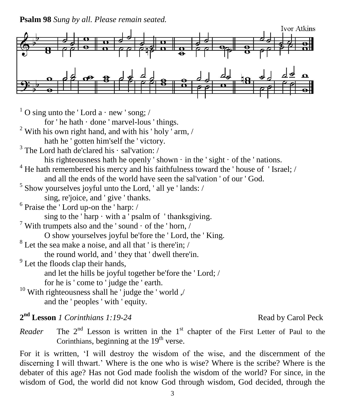**Psalm 98** *Sung by all. Please remain seated.*



 $1$  O sing unto the 'Lord a  $\cdot$  new 'song; /

for ' he hath · done ' marvel-lous ' things.

 $2$  With his own right hand, and with his 'holy ' arm, /

hath he ' gotten him'self the ' victory.

<sup>3</sup> The Lord hath de'clared his · sal'vation: /

his righteousness hath he openly 'shown  $\cdot$  in the ' sight  $\cdot$  of the ' nations.

 $4$  He hath remembered his mercy and his faithfulness toward the ' house of ' Israel; / and all the ends of the world have seen the sal'vation ' of our ' God.

- $<sup>5</sup>$  Show yourselves joyful unto the Lord, 'all ye 'lands: /</sup> sing, re'joice, and ' give ' thanks.
- 6 Praise the ' Lord up-on the ' harp: /

sing to the 'harp  $\cdot$  with a ' psalm of ' thanksgiving.

- $^7$  With trumpets also and the 'sound  $\cdot$  of the 'horn, /
	- O show yourselves joyful be'fore the ' Lord, the ' King.

<sup>8</sup> Let the sea make a noise, and all that ' is there'in; /

the round world, and ' they that ' dwell there'in.

 $9^9$  Let the floods clap their hands,

and let the hills be joyful together be'fore the ' Lord; /

for he is ' come to ' judge the ' earth.

<sup>10</sup> With righteousness shall he  $\overline{\phantom{a}}$  judge the ' world  $\overline{\phantom{a}}$ and the ' peoples ' with ' equity.

2<sup>nd</sup> Lesson *1 Corinthians 1:19-24* Read by Carol Peck

*Reader* 

<sup>nd</sup> Lesson is written in the 1<sup>st</sup> chapter of the First Letter of Paul to the Corinthians, beginning at the  $19<sup>th</sup>$  verse.

For it is written, 'I will destroy the wisdom of the wise, and the discernment of the discerning I will thwart.' Where is the one who is wise? Where is the scribe? Where is the debater of this age? Has not God made foolish the wisdom of the world? For since, in the wisdom of God, the world did not know God through wisdom, God decided, through the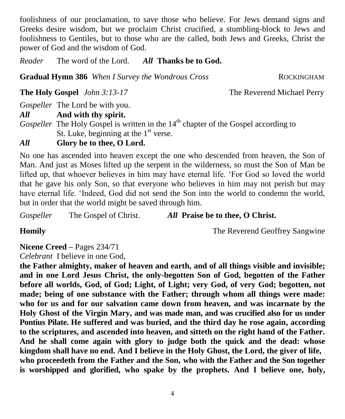foolishness of our proclamation, to save those who believe. For Jews demand signs and Greeks desire wisdom, but we proclaim Christ crucified, a stumbling-block to Jews and foolishness to Gentiles, but to those who are the called, both Jews and Greeks, Christ the power of God and the wisdom of God.

*Reader* The word of the Lord. *All* **Thanks be to God.**

Gradual Hymn 386 When I Survey the Wondrous Cross ROCKINGHAM

**The Holy Gospel** *John 3:13-17* **The Reverend Michael Perry** 

*Gospeller* The Lord be with you.

*All* **And with thy spirit.**

*Gospeller* The Holy Gospel is written in the 14<sup>th</sup> chapter of the Gospel according to St. Luke, beginning at the  $1<sup>st</sup>$  verse.

## *All* **Glory be to thee, O Lord.**

No one has ascended into heaven except the one who descended from heaven, the Son of Man. And just as Moses lifted up the serpent in the wilderness, so must the Son of Man be lifted up, that whoever believes in him may have eternal life. 'For God so loved the world that he gave his only Son, so that everyone who believes in him may not perish but may have eternal life. 'Indeed, God did not send the Son into the world to condemn the world, but in order that the world might be saved through him.

*Gospeller* The Gospel of Christ. *All* **Praise be to thee, O Christ.**

**Homily The Reverend Geoffrey Sangwine** 

# **Nicene Creed –** Pages 234/71

*Celebrant* I believe in one God,

**the Father almighty, maker of heaven and earth, and of all things visible and invisible; and in one Lord Jesus Christ, the only-begotten Son of God, begotten of the Father before all worlds, God, of God; Light, of Light; very God, of very God; begotten, not made; being of one substance with the Father; through whom all things were made: who for us and for our salvation came down from heaven, and was incarnate by the Holy Ghost of the Virgin Mary, and was made man, and was crucified also for us under Pontius Pilate. He suffered and was buried, and the third day he rose again, according to the scriptures, and ascended into heaven, and sitteth on the right hand of the Father. And he shall come again with glory to judge both the quick and the dead: whose kingdom shall have no end. And I believe in the Holy Ghost, the Lord, the giver of life, who proceedeth from the Father and the Son, who with the Father and the Son together is worshipped and glorified, who spake by the prophets. And I believe one, holy,**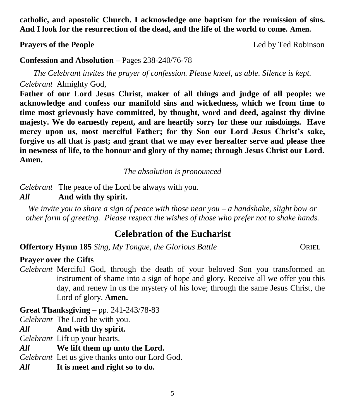**catholic, and apostolic Church. I acknowledge one baptism for the remission of sins. And I look for the resurrection of the dead, and the life of the world to come. Amen.**

**Prayers of the People Prayers of the People** 

#### **Confession and Absolution –** Pages 238-240/76-78

*The Celebrant invites the prayer of confession. Please kneel, as able. Silence is kept. Celebrant* Almighty God,

**Father of our Lord Jesus Christ, maker of all things and judge of all people: we acknowledge and confess our manifold sins and wickedness, which we from time to time most grievously have committed, by thought, word and deed, against thy divine majesty. We do earnestly repent, and are heartily sorry for these our misdoings. Have mercy upon us, most merciful Father; for thy Son our Lord Jesus Christ's sake, forgive us all that is past; and grant that we may ever hereafter serve and please thee in newness of life, to the honour and glory of thy name; through Jesus Christ our Lord. Amen.**

*The absolution is pronounced*

*Celebrant* The peace of the Lord be always with you.

#### *All* **And with thy spirit.**

*We invite you to share a sign of peace with those near you – a handshake, slight bow or other form of greeting. Please respect the wishes of those who prefer not to shake hands.*

## **Celebration of the Eucharist**

**Offertory Hymn 185** *Sing, My Tongue, the Glorious Battle* **CORIEL** 

#### **Prayer over the Gifts**

*Celebrant* Merciful God, through the death of your beloved Son you transformed an instrument of shame into a sign of hope and glory. Receive all we offer you this day, and renew in us the mystery of his love; through the same Jesus Christ, the Lord of glory. **Amen.**

**Great Thanksgiving –** pp. 241-243/78-83

*Celebrant* The Lord be with you.

*All* **And with thy spirit.** 

*Celebrant* Lift up your hearts.

*All* **We lift them up unto the Lord.** 

*Celebrant* Let us give thanks unto our Lord God.

*All* **It is meet and right so to do.**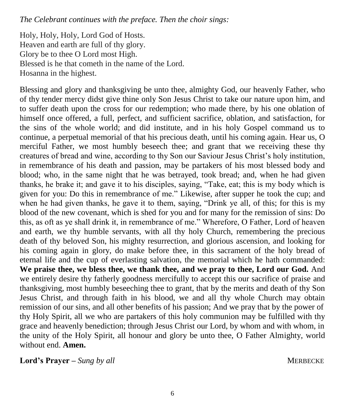*The Celebrant continues with the preface. Then the choir sings:*

Holy, Holy, Holy, Lord God of Hosts. Heaven and earth are full of thy glory. Glory be to thee O Lord most High. Blessed is he that cometh in the name of the Lord. Hosanna in the highest.

Blessing and glory and thanksgiving be unto thee, almighty God, our heavenly Father, who of thy tender mercy didst give thine only Son Jesus Christ to take our nature upon him, and to suffer death upon the cross for our redemption; who made there, by his one oblation of himself once offered, a full, perfect, and sufficient sacrifice, oblation, and satisfaction, for the sins of the whole world; and did institute, and in his holy Gospel command us to continue, a perpetual memorial of that his precious death, until his coming again. Hear us, O merciful Father, we most humbly beseech thee; and grant that we receiving these thy creatures of bread and wine, according to thy Son our Saviour Jesus Christ's holy institution, in remembrance of his death and passion, may be partakers of his most blessed body and blood; who, in the same night that he was betrayed, took bread; and, when he had given thanks, he brake it; and gave it to his disciples, saying, "Take, eat; this is my body which is given for you: Do this in remembrance of me." Likewise, after supper he took the cup; and when he had given thanks, he gave it to them, saying, "Drink ye all, of this; for this is my blood of the new covenant, which is shed for you and for many for the remission of sins: Do this, as oft as ye shall drink it, in remembrance of me." Wherefore, O Father, Lord of heaven and earth, we thy humble servants, with all thy holy Church, remembering the precious death of thy beloved Son, his mighty resurrection, and glorious ascension, and looking for his coming again in glory, do make before thee, in this sacrament of the holy bread of eternal life and the cup of everlasting salvation, the memorial which he hath commanded: **We praise thee, we bless thee, we thank thee, and we pray to thee, Lord our God.** And we entirely desire thy fatherly goodness mercifully to accept this our sacrifice of praise and thanksgiving, most humbly beseeching thee to grant, that by the merits and death of thy Son Jesus Christ, and through faith in his blood, we and all thy whole Church may obtain remission of our sins, and all other benefits of his passion; And we pray that by the power of thy Holy Spirit, all we who are partakers of this holy communion may be fulfilled with thy grace and heavenly benediction; through Jesus Christ our Lord, by whom and with whom, in the unity of the Holy Spirit, all honour and glory be unto thee, O Father Almighty, world without end. **Amen.**

**Lord's Prayer –** *Sung by all*MERBECKE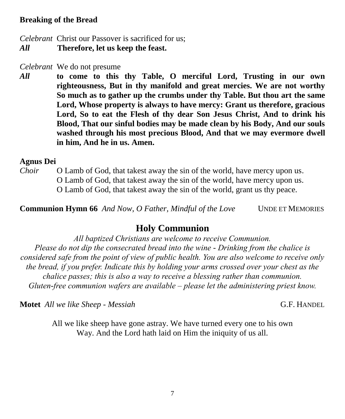#### **Breaking of the Bread**

*Celebrant* Christ our Passover is sacrificed for us;

*All* **Therefore, let us keep the feast.**

*Celebrant* We do not presume

*All* **to come to this thy Table, O merciful Lord, Trusting in our own righteousness, But in thy manifold and great mercies. We are not worthy So much as to gather up the crumbs under thy Table. But thou art the same Lord, Whose property is always to have mercy: Grant us therefore, gracious Lord, So to eat the Flesh of thy dear Son Jesus Christ, And to drink his Blood, That our sinful bodies may be made clean by his Body, And our souls washed through his most precious Blood, And that we may evermore dwell in him, And he in us. Amen.**

#### **Agnus Dei**

*Choir* O Lamb of God, that takest away the sin of the world, have mercy upon us. O Lamb of God, that takest away the sin of the world, have mercy upon us. O Lamb of God, that takest away the sin of the world, grant us thy peace.

**Communion Hymn 66** *And Now, O Father, Mindful of the Love* UNDE ET MEMORIES

### **Holy Communion**

*All baptized Christians are welcome to receive Communion. Please do not dip the consecrated bread into the wine - Drinking from the chalice is considered safe from the point of view of public health. You are also welcome to receive only the bread, if you prefer. Indicate this by holding your arms crossed over your chest as the chalice passes; this is also a way to receive a blessing rather than communion. Gluten-free communion wafers are available – please let the administering priest know.*

**Motet** *All we like Sheep - Messiah* **G.F. HANDEL G.F. HANDEL** 

All we like sheep have gone astray. We have turned every one to his own Way. And the Lord hath laid on Him the iniquity of us all.